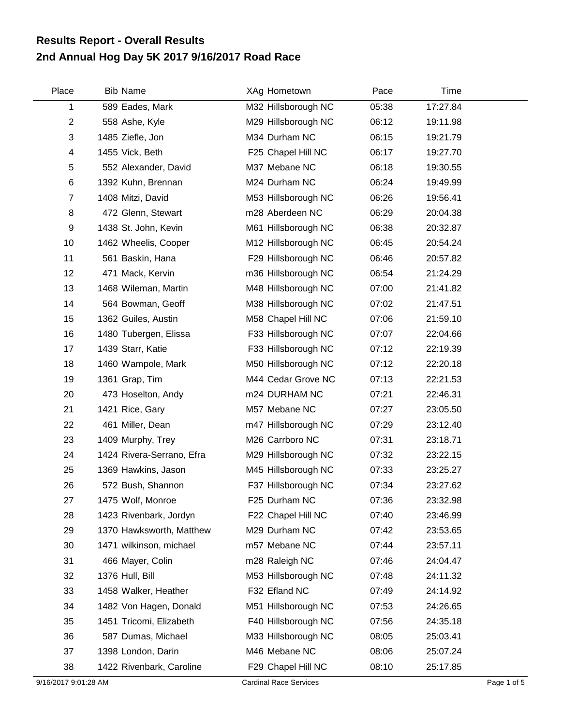## **2nd Annual Hog Day 5K 2017 9/16/2017 Road Race Results Report - Overall Results**

| Place                   | <b>Bib Name</b>           | XAg Hometown        | Pace  | Time     |  |
|-------------------------|---------------------------|---------------------|-------|----------|--|
| 1                       | 589 Eades, Mark           | M32 Hillsborough NC | 05:38 | 17:27.84 |  |
| $\overline{\mathbf{c}}$ | 558 Ashe, Kyle            | M29 Hillsborough NC | 06:12 | 19:11.98 |  |
| 3                       | 1485 Ziefle, Jon          | M34 Durham NC       | 06:15 | 19:21.79 |  |
| 4                       | 1455 Vick, Beth           | F25 Chapel Hill NC  | 06:17 | 19:27.70 |  |
| 5                       | 552 Alexander, David      | M37 Mebane NC       | 06:18 | 19:30.55 |  |
| 6                       | 1392 Kuhn, Brennan        | M24 Durham NC       | 06:24 | 19:49.99 |  |
| $\overline{7}$          | 1408 Mitzi, David         | M53 Hillsborough NC | 06:26 | 19:56.41 |  |
| 8                       | 472 Glenn, Stewart        | m28 Aberdeen NC     | 06:29 | 20:04.38 |  |
| 9                       | 1438 St. John, Kevin      | M61 Hillsborough NC | 06:38 | 20:32.87 |  |
| 10                      | 1462 Wheelis, Cooper      | M12 Hillsborough NC | 06:45 | 20:54.24 |  |
| 11                      | 561 Baskin, Hana          | F29 Hillsborough NC | 06:46 | 20:57.82 |  |
| 12                      | 471 Mack, Kervin          | m36 Hillsborough NC | 06:54 | 21:24.29 |  |
| 13                      | 1468 Wileman, Martin      | M48 Hillsborough NC | 07:00 | 21:41.82 |  |
| 14                      | 564 Bowman, Geoff         | M38 Hillsborough NC | 07:02 | 21:47.51 |  |
| 15                      | 1362 Guiles, Austin       | M58 Chapel Hill NC  | 07:06 | 21:59.10 |  |
| 16                      | 1480 Tubergen, Elissa     | F33 Hillsborough NC | 07:07 | 22:04.66 |  |
| 17                      | 1439 Starr, Katie         | F33 Hillsborough NC | 07:12 | 22:19.39 |  |
| 18                      | 1460 Wampole, Mark        | M50 Hillsborough NC | 07:12 | 22:20.18 |  |
| 19                      | 1361 Grap, Tim            | M44 Cedar Grove NC  | 07:13 | 22:21.53 |  |
| 20                      | 473 Hoselton, Andy        | m24 DURHAM NC       | 07:21 | 22:46.31 |  |
| 21                      | 1421 Rice, Gary           | M57 Mebane NC       | 07:27 | 23:05.50 |  |
| 22                      | 461 Miller, Dean          | m47 Hillsborough NC | 07:29 | 23:12.40 |  |
| 23                      | 1409 Murphy, Trey         | M26 Carrboro NC     | 07:31 | 23:18.71 |  |
| 24                      | 1424 Rivera-Serrano, Efra | M29 Hillsborough NC | 07:32 | 23:22.15 |  |
| 25                      | 1369 Hawkins, Jason       | M45 Hillsborough NC | 07:33 | 23:25.27 |  |
| 26                      | 572 Bush, Shannon         | F37 Hillsborough NC | 07:34 | 23:27.62 |  |
| 27                      | 1475 Wolf, Monroe         | F25 Durham NC       | 07:36 | 23:32.98 |  |
| 28                      | 1423 Rivenbark, Jordyn    | F22 Chapel Hill NC  | 07:40 | 23:46.99 |  |
| 29                      | 1370 Hawksworth, Matthew  | M29 Durham NC       | 07:42 | 23:53.65 |  |
| 30                      | 1471 wilkinson, michael   | m57 Mebane NC       | 07:44 | 23:57.11 |  |
| 31                      | 466 Mayer, Colin          | m28 Raleigh NC      | 07:46 | 24:04.47 |  |
| 32                      | 1376 Hull, Bill           | M53 Hillsborough NC | 07:48 | 24:11.32 |  |
| 33                      | 1458 Walker, Heather      | F32 Efland NC       | 07:49 | 24:14.92 |  |
| 34                      | 1482 Von Hagen, Donald    | M51 Hillsborough NC | 07:53 | 24:26.65 |  |
| 35                      | 1451 Tricomi, Elizabeth   | F40 Hillsborough NC | 07:56 | 24:35.18 |  |
| 36                      | 587 Dumas, Michael        | M33 Hillsborough NC | 08:05 | 25:03.41 |  |
| 37                      | 1398 London, Darin        | M46 Mebane NC       | 08:06 | 25:07.24 |  |
| 38                      | 1422 Rivenbark, Caroline  | F29 Chapel Hill NC  | 08:10 | 25:17.85 |  |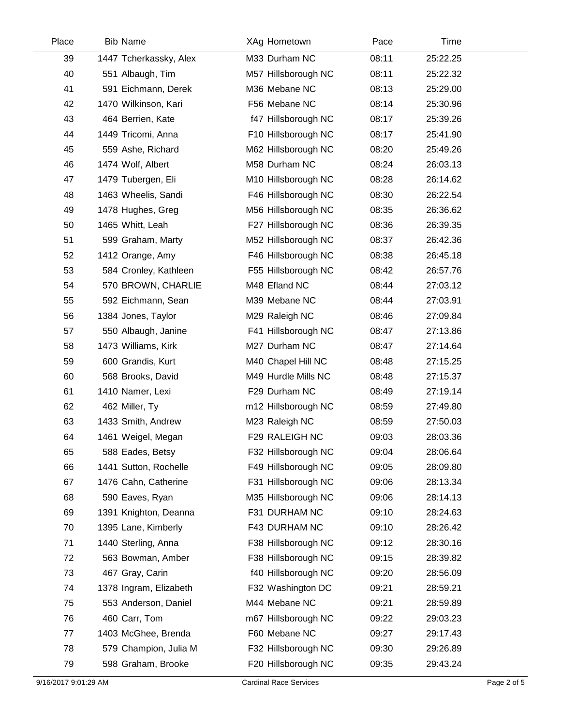| Place | <b>Bib Name</b>        | XAg Hometown        | Pace  | Time     |  |
|-------|------------------------|---------------------|-------|----------|--|
| 39    | 1447 Tcherkassky, Alex | M33 Durham NC       | 08:11 | 25:22.25 |  |
| 40    | 551 Albaugh, Tim       | M57 Hillsborough NC | 08:11 | 25:22.32 |  |
| 41    | 591 Eichmann, Derek    | M36 Mebane NC       | 08:13 | 25:29.00 |  |
| 42    | 1470 Wilkinson, Kari   | F56 Mebane NC       | 08:14 | 25:30.96 |  |
| 43    | 464 Berrien, Kate      | f47 Hillsborough NC | 08:17 | 25:39.26 |  |
| 44    | 1449 Tricomi, Anna     | F10 Hillsborough NC | 08:17 | 25:41.90 |  |
| 45    | 559 Ashe, Richard      | M62 Hillsborough NC | 08:20 | 25:49.26 |  |
| 46    | 1474 Wolf, Albert      | M58 Durham NC       | 08:24 | 26:03.13 |  |
| 47    | 1479 Tubergen, Eli     | M10 Hillsborough NC | 08:28 | 26:14.62 |  |
| 48    | 1463 Wheelis, Sandi    | F46 Hillsborough NC | 08:30 | 26:22.54 |  |
| 49    | 1478 Hughes, Greg      | M56 Hillsborough NC | 08:35 | 26:36.62 |  |
| 50    | 1465 Whitt, Leah       | F27 Hillsborough NC | 08:36 | 26:39.35 |  |
| 51    | 599 Graham, Marty      | M52 Hillsborough NC | 08:37 | 26:42.36 |  |
| 52    | 1412 Orange, Amy       | F46 Hillsborough NC | 08:38 | 26:45.18 |  |
| 53    | 584 Cronley, Kathleen  | F55 Hillsborough NC | 08:42 | 26:57.76 |  |
| 54    | 570 BROWN, CHARLIE     | M48 Efland NC       | 08:44 | 27:03.12 |  |
| 55    | 592 Eichmann, Sean     | M39 Mebane NC       | 08:44 | 27:03.91 |  |
| 56    | 1384 Jones, Taylor     | M29 Raleigh NC      | 08:46 | 27:09.84 |  |
| 57    | 550 Albaugh, Janine    | F41 Hillsborough NC | 08:47 | 27:13.86 |  |
| 58    | 1473 Williams, Kirk    | M27 Durham NC       | 08:47 | 27:14.64 |  |
| 59    | 600 Grandis, Kurt      | M40 Chapel Hill NC  | 08:48 | 27:15.25 |  |
| 60    | 568 Brooks, David      | M49 Hurdle Mills NC | 08:48 | 27:15.37 |  |
| 61    | 1410 Namer, Lexi       | F29 Durham NC       | 08:49 | 27:19.14 |  |
| 62    | 462 Miller, Ty         | m12 Hillsborough NC | 08:59 | 27:49.80 |  |
| 63    | 1433 Smith, Andrew     | M23 Raleigh NC      | 08:59 | 27:50.03 |  |
| 64    | 1461 Weigel, Megan     | F29 RALEIGH NC      | 09:03 | 28:03.36 |  |
| 65    | 588 Eades, Betsy       | F32 Hillsborough NC | 09:04 | 28:06.64 |  |
| 66    | 1441 Sutton, Rochelle  | F49 Hillsborough NC | 09:05 | 28:09.80 |  |
| 67    | 1476 Cahn, Catherine   | F31 Hillsborough NC | 09:06 | 28:13.34 |  |
| 68    | 590 Eaves, Ryan        | M35 Hillsborough NC | 09:06 | 28:14.13 |  |
| 69    | 1391 Knighton, Deanna  | F31 DURHAM NC       | 09:10 | 28:24.63 |  |
| 70    | 1395 Lane, Kimberly    | F43 DURHAM NC       | 09:10 | 28:26.42 |  |
| 71    | 1440 Sterling, Anna    | F38 Hillsborough NC | 09:12 | 28:30.16 |  |
| 72    | 563 Bowman, Amber      | F38 Hillsborough NC | 09:15 | 28:39.82 |  |
| 73    | 467 Gray, Carin        | f40 Hillsborough NC | 09:20 | 28:56.09 |  |
| 74    | 1378 Ingram, Elizabeth | F32 Washington DC   | 09:21 | 28:59.21 |  |
| 75    | 553 Anderson, Daniel   | M44 Mebane NC       | 09:21 | 28:59.89 |  |
| 76    | 460 Carr, Tom          | m67 Hillsborough NC | 09:22 | 29:03.23 |  |
| 77    | 1403 McGhee, Brenda    | F60 Mebane NC       | 09:27 | 29:17.43 |  |
| 78    | 579 Champion, Julia M  | F32 Hillsborough NC | 09:30 | 29:26.89 |  |
| 79    | 598 Graham, Brooke     | F20 Hillsborough NC | 09:35 | 29:43.24 |  |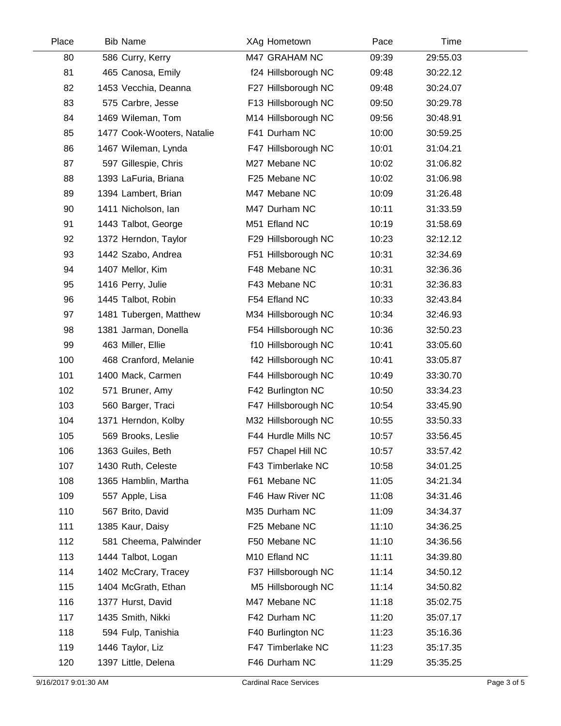| Place | <b>Bib Name</b>            | XAg Hometown        | Pace  | Time     |  |
|-------|----------------------------|---------------------|-------|----------|--|
| 80    | 586 Curry, Kerry           | M47 GRAHAM NC       | 09:39 | 29:55.03 |  |
| 81    | 465 Canosa, Emily          | f24 Hillsborough NC | 09:48 | 30:22.12 |  |
| 82    | 1453 Vecchia, Deanna       | F27 Hillsborough NC | 09:48 | 30:24.07 |  |
| 83    | 575 Carbre, Jesse          | F13 Hillsborough NC | 09:50 | 30:29.78 |  |
| 84    | 1469 Wileman, Tom          | M14 Hillsborough NC | 09:56 | 30:48.91 |  |
| 85    | 1477 Cook-Wooters, Natalie | F41 Durham NC       | 10:00 | 30:59.25 |  |
| 86    | 1467 Wileman, Lynda        | F47 Hillsborough NC | 10:01 | 31:04.21 |  |
| 87    | 597 Gillespie, Chris       | M27 Mebane NC       | 10:02 | 31:06.82 |  |
| 88    | 1393 LaFuria, Briana       | F25 Mebane NC       | 10:02 | 31:06.98 |  |
| 89    | 1394 Lambert, Brian        | M47 Mebane NC       | 10:09 | 31:26.48 |  |
| 90    | 1411 Nicholson, lan        | M47 Durham NC       | 10:11 | 31:33.59 |  |
| 91    | 1443 Talbot, George        | M51 Efland NC       | 10:19 | 31:58.69 |  |
| 92    | 1372 Herndon, Taylor       | F29 Hillsborough NC | 10:23 | 32:12.12 |  |
| 93    | 1442 Szabo, Andrea         | F51 Hillsborough NC | 10:31 | 32:34.69 |  |
| 94    | 1407 Mellor, Kim           | F48 Mebane NC       | 10:31 | 32:36.36 |  |
| 95    | 1416 Perry, Julie          | F43 Mebane NC       | 10:31 | 32:36.83 |  |
| 96    | 1445 Talbot, Robin         | F54 Efland NC       | 10:33 | 32:43.84 |  |
| 97    | 1481 Tubergen, Matthew     | M34 Hillsborough NC | 10:34 | 32:46.93 |  |
| 98    | 1381 Jarman, Donella       | F54 Hillsborough NC | 10:36 | 32:50.23 |  |
| 99    | 463 Miller, Ellie          | f10 Hillsborough NC | 10:41 | 33:05.60 |  |
| 100   | 468 Cranford, Melanie      | f42 Hillsborough NC | 10:41 | 33:05.87 |  |
| 101   | 1400 Mack, Carmen          | F44 Hillsborough NC | 10:49 | 33:30.70 |  |
| 102   | 571 Bruner, Amy            | F42 Burlington NC   | 10:50 | 33:34.23 |  |
| 103   | 560 Barger, Traci          | F47 Hillsborough NC | 10:54 | 33:45.90 |  |
| 104   | 1371 Herndon, Kolby        | M32 Hillsborough NC | 10:55 | 33:50.33 |  |
| 105   | 569 Brooks, Leslie         | F44 Hurdle Mills NC | 10:57 | 33:56.45 |  |
| 106   | 1363 Guiles, Beth          | F57 Chapel Hill NC  | 10:57 | 33:57.42 |  |
| 107   | 1430 Ruth, Celeste         | F43 Timberlake NC   | 10:58 | 34:01.25 |  |
| 108   | 1365 Hamblin, Martha       | F61 Mebane NC       | 11:05 | 34:21.34 |  |
| 109   | 557 Apple, Lisa            | F46 Haw River NC    | 11:08 | 34:31.46 |  |
| 110   | 567 Brito, David           | M35 Durham NC       | 11:09 | 34:34.37 |  |
| 111   | 1385 Kaur, Daisy           | F25 Mebane NC       | 11:10 | 34:36.25 |  |
| 112   | 581 Cheema, Palwinder      | F50 Mebane NC       | 11:10 | 34:36.56 |  |
| 113   | 1444 Talbot, Logan         | M10 Efland NC       | 11:11 | 34:39.80 |  |
| 114   | 1402 McCrary, Tracey       | F37 Hillsborough NC | 11:14 | 34:50.12 |  |
| 115   | 1404 McGrath, Ethan        | M5 Hillsborough NC  | 11:14 | 34:50.82 |  |
| 116   | 1377 Hurst, David          | M47 Mebane NC       | 11:18 | 35:02.75 |  |
| 117   | 1435 Smith, Nikki          | F42 Durham NC       | 11:20 | 35:07.17 |  |
| 118   | 594 Fulp, Tanishia         | F40 Burlington NC   | 11:23 | 35:16.36 |  |
| 119   | 1446 Taylor, Liz           | F47 Timberlake NC   | 11:23 | 35:17.35 |  |
| 120   | 1397 Little, Delena        | F46 Durham NC       | 11:29 | 35:35.25 |  |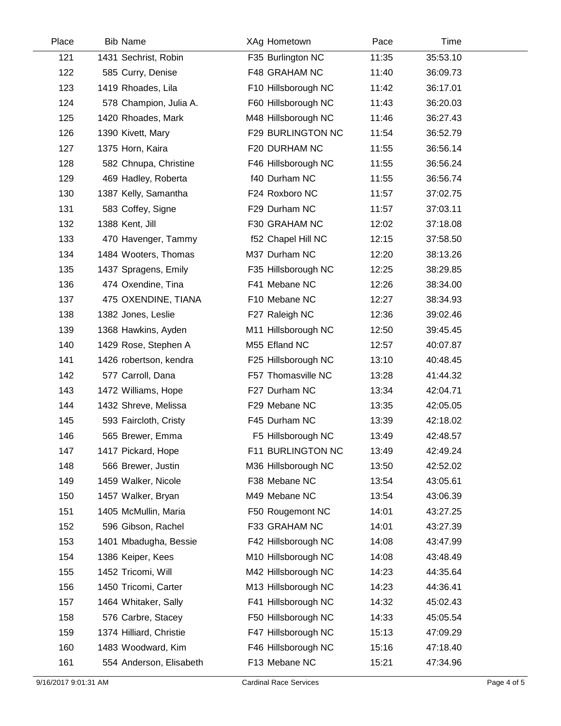| Place | <b>Bib Name</b>         | XAg Hometown        | Pace  | Time     |  |
|-------|-------------------------|---------------------|-------|----------|--|
| 121   | 1431 Sechrist, Robin    | F35 Burlington NC   | 11:35 | 35:53.10 |  |
| 122   | 585 Curry, Denise       | F48 GRAHAM NC       | 11:40 | 36:09.73 |  |
| 123   | 1419 Rhoades, Lila      | F10 Hillsborough NC | 11:42 | 36:17.01 |  |
| 124   | 578 Champion, Julia A.  | F60 Hillsborough NC | 11:43 | 36:20.03 |  |
| 125   | 1420 Rhoades, Mark      | M48 Hillsborough NC | 11:46 | 36:27.43 |  |
| 126   | 1390 Kivett, Mary       | F29 BURLINGTON NC   | 11:54 | 36:52.79 |  |
| 127   | 1375 Horn, Kaira        | F20 DURHAM NC       | 11:55 | 36:56.14 |  |
| 128   | 582 Chnupa, Christine   | F46 Hillsborough NC | 11:55 | 36:56.24 |  |
| 129   | 469 Hadley, Roberta     | f40 Durham NC       | 11:55 | 36:56.74 |  |
| 130   | 1387 Kelly, Samantha    | F24 Roxboro NC      | 11:57 | 37:02.75 |  |
| 131   | 583 Coffey, Signe       | F29 Durham NC       | 11:57 | 37:03.11 |  |
| 132   | 1388 Kent, Jill         | F30 GRAHAM NC       | 12:02 | 37:18.08 |  |
| 133   | 470 Havenger, Tammy     | f52 Chapel Hill NC  | 12:15 | 37:58.50 |  |
| 134   | 1484 Wooters, Thomas    | M37 Durham NC       | 12:20 | 38:13.26 |  |
| 135   | 1437 Spragens, Emily    | F35 Hillsborough NC | 12:25 | 38:29.85 |  |
| 136   | 474 Oxendine, Tina      | F41 Mebane NC       | 12:26 | 38:34.00 |  |
| 137   | 475 OXENDINE, TIANA     | F10 Mebane NC       | 12:27 | 38:34.93 |  |
| 138   | 1382 Jones, Leslie      | F27 Raleigh NC      | 12:36 | 39:02.46 |  |
| 139   | 1368 Hawkins, Ayden     | M11 Hillsborough NC | 12:50 | 39:45.45 |  |
| 140   | 1429 Rose, Stephen A    | M55 Efland NC       | 12:57 | 40:07.87 |  |
| 141   | 1426 robertson, kendra  | F25 Hillsborough NC | 13:10 | 40:48.45 |  |
| 142   | 577 Carroll, Dana       | F57 Thomasville NC  | 13:28 | 41:44.32 |  |
| 143   | 1472 Williams, Hope     | F27 Durham NC       | 13:34 | 42:04.71 |  |
| 144   | 1432 Shreve, Melissa    | F29 Mebane NC       | 13:35 | 42:05.05 |  |
| 145   | 593 Faircloth, Cristy   | F45 Durham NC       | 13:39 | 42:18.02 |  |
| 146   | 565 Brewer, Emma        | F5 Hillsborough NC  | 13:49 | 42:48.57 |  |
| 147   | 1417 Pickard, Hope      | F11 BURLINGTON NC   | 13:49 | 42:49.24 |  |
| 148   | 566 Brewer, Justin      | M36 Hillsborough NC | 13:50 | 42:52.02 |  |
| 149   | 1459 Walker, Nicole     | F38 Mebane NC       | 13:54 | 43:05.61 |  |
| 150   | 1457 Walker, Bryan      | M49 Mebane NC       | 13:54 | 43:06.39 |  |
| 151   | 1405 McMullin, Maria    | F50 Rougemont NC    | 14:01 | 43:27.25 |  |
| 152   | 596 Gibson, Rachel      | F33 GRAHAM NC       | 14:01 | 43:27.39 |  |
| 153   | 1401 Mbadugha, Bessie   | F42 Hillsborough NC | 14:08 | 43:47.99 |  |
| 154   | 1386 Keiper, Kees       | M10 Hillsborough NC | 14:08 | 43:48.49 |  |
| 155   | 1452 Tricomi, Will      | M42 Hillsborough NC | 14:23 | 44:35.64 |  |
| 156   | 1450 Tricomi, Carter    | M13 Hillsborough NC | 14:23 | 44:36.41 |  |
| 157   | 1464 Whitaker, Sally    | F41 Hillsborough NC | 14:32 | 45:02.43 |  |
| 158   | 576 Carbre, Stacey      | F50 Hillsborough NC | 14:33 | 45:05.54 |  |
| 159   | 1374 Hilliard, Christie | F47 Hillsborough NC | 15:13 | 47:09.29 |  |
| 160   | 1483 Woodward, Kim      | F46 Hillsborough NC | 15:16 | 47:18.40 |  |
| 161   | 554 Anderson, Elisabeth | F13 Mebane NC       | 15:21 | 47:34.96 |  |